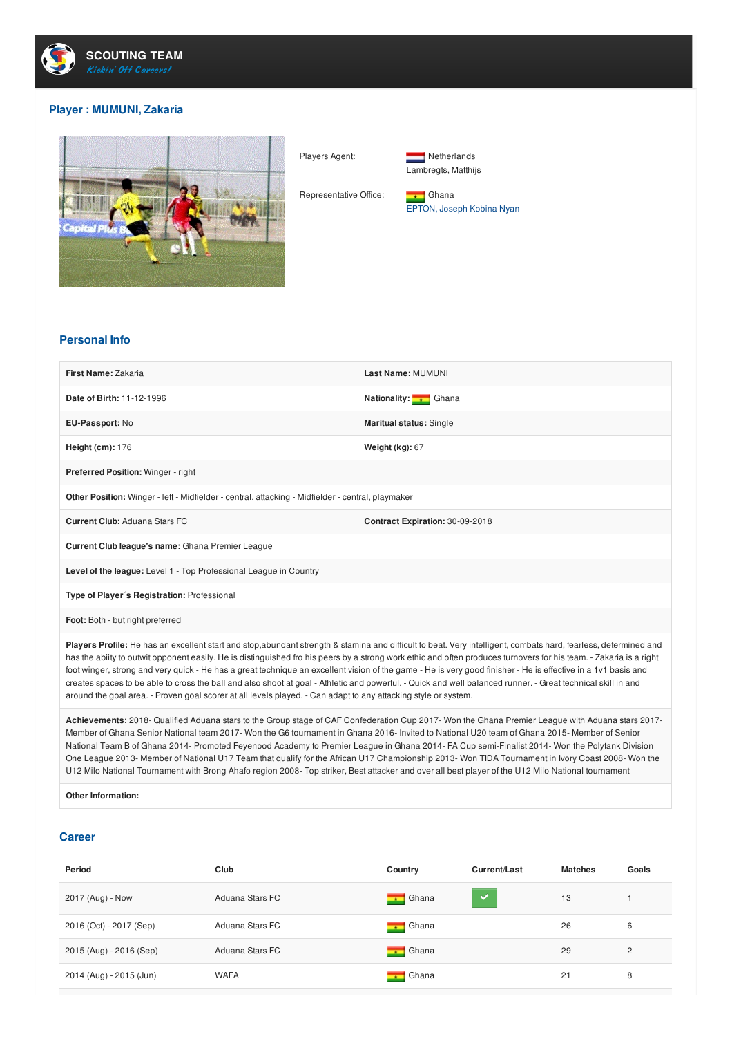

## **Player : MUMUNI, Zakaria**





Lambregts, Matthijs

Representative Office: **Fig. 1** Ghana EPTON, Joseph Kobina Nyan

## **Personal Info**

| First Name: Zakaria                                                                                                                                                                                                                                                                                                                    | Last Name: MUMUNI               |  |  |  |
|----------------------------------------------------------------------------------------------------------------------------------------------------------------------------------------------------------------------------------------------------------------------------------------------------------------------------------------|---------------------------------|--|--|--|
| Date of Birth: 11-12-1996                                                                                                                                                                                                                                                                                                              | Nationality: Ghana              |  |  |  |
| EU-Passport: No                                                                                                                                                                                                                                                                                                                        | <b>Maritual status: Single</b>  |  |  |  |
| Height $(cm): 176$                                                                                                                                                                                                                                                                                                                     | Weight (kg): 67                 |  |  |  |
| Preferred Position: Winger - right                                                                                                                                                                                                                                                                                                     |                                 |  |  |  |
| Other Position: Winger - left - Midfielder - central, attacking - Midfielder - central, playmaker                                                                                                                                                                                                                                      |                                 |  |  |  |
| <b>Current Club: Aduana Stars FC</b>                                                                                                                                                                                                                                                                                                   | Contract Expiration: 30-09-2018 |  |  |  |
| Current Club league's name: Ghana Premier League                                                                                                                                                                                                                                                                                       |                                 |  |  |  |
| Level of the league: Level 1 - Top Professional League in Country                                                                                                                                                                                                                                                                      |                                 |  |  |  |
| Type of Player's Registration: Professional                                                                                                                                                                                                                                                                                            |                                 |  |  |  |
| Foot: Both - but right preferred                                                                                                                                                                                                                                                                                                       |                                 |  |  |  |
| Players Profile: He has an excellent start and stop, abundant strength & stamina and difficult to beat. Very intelligent, combats hard, fearless, determined and<br>has the ability to outwit opponent easily. He is distinguished fro his peers by a strong work ethic and often produces turnovers for his team - Zakaria is a right |                                 |  |  |  |

has the abiity to outwit opponent easily. He is distinguished fro his peers by a strong work ethic and often produces turnovers for his team. - Zakaria is a right foot winger, strong and very quick - He has a great technique an excellent vision of the game - He is very good finisher - He is effective in a 1v1 basis and creates spaces to be able to cross the ball and also shoot at goal - Athletic and powerful. - Quick and well balanced runner. - Great technical skill in and around the goal area. - Proven goal scorer at all levels played. - Can adapt to any attacking style or system.

**Achievements:** 2018- Qualified Aduana stars to the Group stage of CAF Confederation Cup 2017- Won the Ghana Premier League with Aduana stars 2017- Member of Ghana Senior National team 2017- Won the G6 tournament in Ghana 2016- Invited to National U20 team of Ghana 2015- Member of Senior National Team B of Ghana 2014- Promoted Feyenood Academy to Premier League in Ghana 2014- FA Cup semi-Finalist 2014- Won the Polytank Division One League 2013- Member of National U17 Team that qualify for the African U17 Championship 2013- Won TIDA Tournament in Ivory Coast 2008- Won the U12 Milo National Tournament with Brong Ahafo region 2008- Top striker, Best attacker and over all best player of the U12 Milo National tournament

**Other Information:**

## **Career**

| Period                  | Club            | Country                           | Current/Last | <b>Matches</b> | Goals |
|-------------------------|-----------------|-----------------------------------|--------------|----------------|-------|
| 2017 (Aug) - Now        | Aduana Stars FC | Ghana<br>$\overline{\phantom{a}}$ | $\checkmark$ | 13             |       |
| 2016 (Oct) - 2017 (Sep) | Aduana Stars FC | Ghana<br>$\overline{\phantom{a}}$ |              | 26             | 6     |
| 2015 (Aug) - 2016 (Sep) | Aduana Stars FC | Ghana<br>$\overline{\phantom{a}}$ |              | 29             | 2     |
| 2014 (Aug) - 2015 (Jun) | <b>WAFA</b>     | Ghana<br><b>START</b>             |              | 21             | 8     |